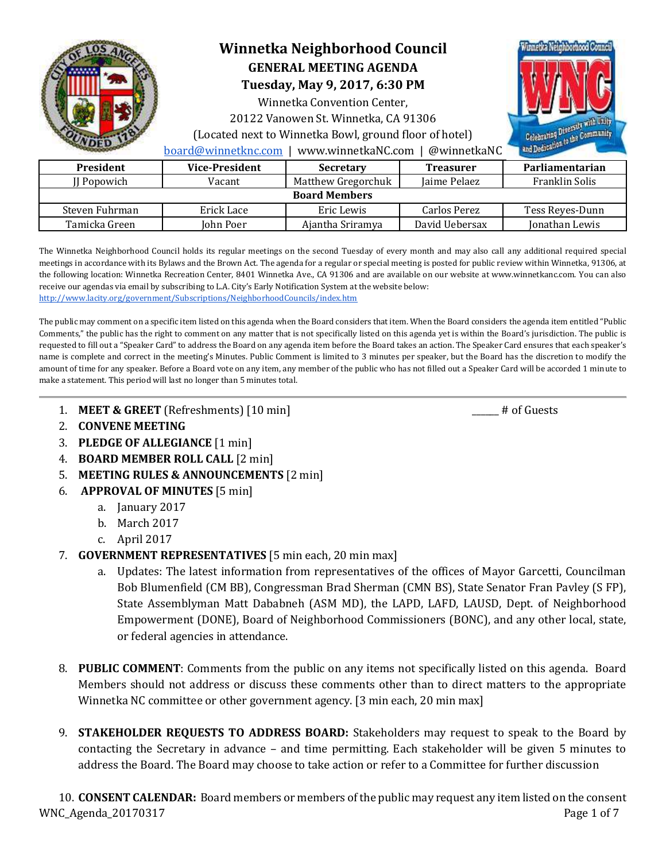

# **Winnetka Neighborhood Council GENERAL MEETING AGENDA**

**Tuesday, May 9, 2017, 6:30 PM** 

Winnetka Convention Center,

20122 Vanowen St. Winnetka, CA 91306

(Located next to Winnetka Bowl, ground floor of hotel)



[board@winnetknc.com](mailto:board@winnetknc.com) | www.winnetkaNC.com | @winnetkaNC

| <b>President</b>     | <b>Vice-President</b> | <b>Secretary</b>   | <b>Treasurer</b> | Parliamentarian |  |
|----------------------|-----------------------|--------------------|------------------|-----------------|--|
| II Popowich          | Vacant                | Matthew Gregorchuk | Jaime Pelaez     | Franklin Solis  |  |
| <b>Board Members</b> |                       |                    |                  |                 |  |
| Steven Fuhrman       | Erick Lace            | Eric Lewis         | Carlos Perez     | Tess Reves-Dunn |  |
| Tamicka Green        | John Poer             | Aiantha Sriramva   | David Uebersax   | Jonathan Lewis  |  |

The Winnetka Neighborhood Council holds its regular meetings on the second Tuesday of every month and may also call any additional required special meetings in accordance with its Bylaws and the Brown Act. The agenda for a regular or special meeting is posted for public review within Winnetka, 91306, at the following location: Winnetka Recreation Center, 8401 Winnetka Ave., CA 91306 and are available on our website at www.winnetkanc.com. You can also receive our agendas via email by subscribing to L.A. City's Early Notification System at the website below: <http://www.lacity.org/government/Subscriptions/NeighborhoodCouncils/index.htm>

The public may comment on a specific item listed on this agenda when the Board considers that item. When the Board considers the agenda item entitled "Public Comments," the public has the right to comment on any matter that is not specifically listed on this agenda yet is within the Board's jurisdiction. The public is requested to fill out a "Speaker Card" to address the Board on any agenda item before the Board takes an action. The Speaker Card ensures that each speaker's name is complete and correct in the meeting's Minutes. Public Comment is limited to 3 minutes per speaker, but the Board has the discretion to modify the amount of time for any speaker. Before a Board vote on any item, any member of the public who has not filled out a Speaker Card will be accorded 1 minute to make a statement. This period will last no longer than 5 minutes total.

- 1. **MEET & GREET** (Refreshments) [10 min] \_\_\_\_\_\_\_\_ # of Guests
- 2. **CONVENE MEETING**
- 3. **PLEDGE OF ALLEGIANCE** [1 min]
- 4. **BOARD MEMBER ROLL CALL** [2 min]
- 5. **MEETING RULES & ANNOUNCEMENTS** [2 min]
- 6. **APPROVAL OF MINUTES** [5 min]
	- a. January 2017
	- b. March 2017
	- c. April 2017
- 7. **GOVERNMENT REPRESENTATIVES** [5 min each, 20 min max]
	- a. Updates: The latest information from representatives of the offices of Mayor Garcetti, Councilman Bob Blumenfield (CM BB), Congressman Brad Sherman (CMN BS), State Senator Fran Pavley (S FP), State Assemblyman Matt Dababneh (ASM MD), the LAPD, LAFD, LAUSD, Dept. of Neighborhood Empowerment (DONE), Board of Neighborhood Commissioners (BONC), and any other local, state, or federal agencies in attendance.
- 8. **PUBLIC COMMENT**: Comments from the public on any items not specifically listed on this agenda. Board Members should not address or discuss these comments other than to direct matters to the appropriate Winnetka NC committee or other government agency. [3 min each, 20 min max]
- 9. **STAKEHOLDER REQUESTS TO ADDRESS BOARD:** Stakeholders may request to speak to the Board by contacting the Secretary in advance – and time permitting. Each stakeholder will be given 5 minutes to address the Board. The Board may choose to take action or refer to a Committee for further discussion

WNC\_Agenda\_20170317 Page 1 of 7 10. **CONSENT CALENDAR:** Board members or members of the public may request any item listed on the consent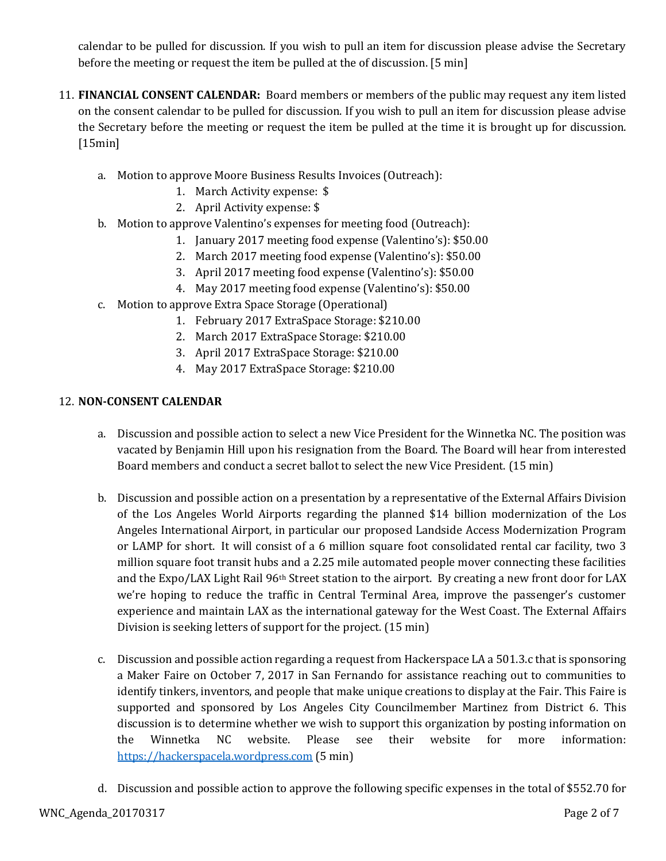calendar to be pulled for discussion. If you wish to pull an item for discussion please advise the Secretary before the meeting or request the item be pulled at the of discussion. [5 min]

- 11. **FINANCIAL CONSENT CALENDAR:** Board members or members of the public may request any item listed on the consent calendar to be pulled for discussion. If you wish to pull an item for discussion please advise the Secretary before the meeting or request the item be pulled at the time it is brought up for discussion. [15min]
	- a. Motion to approve Moore Business Results Invoices (Outreach):
		- 1. March Activity expense: \$
		- 2. April Activity expense: \$
	- b. Motion to approve Valentino's expenses for meeting food (Outreach):
		- 1. January 2017 meeting food expense (Valentino's): \$50.00
			- 2. March 2017 meeting food expense (Valentino's): \$50.00
			- 3. April 2017 meeting food expense (Valentino's): \$50.00
			- 4. May 2017 meeting food expense (Valentino's): \$50.00
	- c. Motion to approve Extra Space Storage (Operational)
		- 1. February 2017 ExtraSpace Storage: \$210.00
		- 2. March 2017 ExtraSpace Storage: \$210.00
		- 3. April 2017 ExtraSpace Storage: \$210.00
		- 4. May 2017 ExtraSpace Storage: \$210.00

### 12. **NON-CONSENT CALENDAR**

- a. Discussion and possible action to select a new Vice President for the Winnetka NC. The position was vacated by Benjamin Hill upon his resignation from the Board. The Board will hear from interested Board members and conduct a secret ballot to select the new Vice President. (15 min)
- b. Discussion and possible action on a presentation by a representative of the External Affairs Division of the Los Angeles World Airports regarding the planned \$14 billion modernization of the Los Angeles International Airport, in particular our proposed Landside Access Modernization Program or LAMP for short. It will consist of a 6 million square foot consolidated rental car facility, two 3 million square foot transit hubs and a 2.25 mile automated people mover connecting these facilities and the Expo/LAX Light Rail 96th Street station to the airport. By creating a new front door for LAX we're hoping to reduce the traffic in Central Terminal Area, improve the passenger's customer experience and maintain LAX as the international gateway for the West Coast. The External Affairs Division is seeking letters of support for the project. (15 min)
- c. Discussion and possible action regarding a request from Hackerspace LA a 501.3.c that is sponsoring a Maker Faire on October 7, 2017 in San Fernando for assistance reaching out to communities to identify tinkers, inventors, and people that make unique creations to display at the Fair. This Faire is supported and sponsored by Los Angeles City Councilmember Martinez from District 6. This discussion is to determine whether we wish to support this organization by posting information on the Winnetka NC website. Please see their website for more information: [https://hackerspacela.wordpress.com](https://hackerspacela.wordpress.com/) (5 min)
- d. Discussion and possible action to approve the following specific expenses in the total of \$552.70 for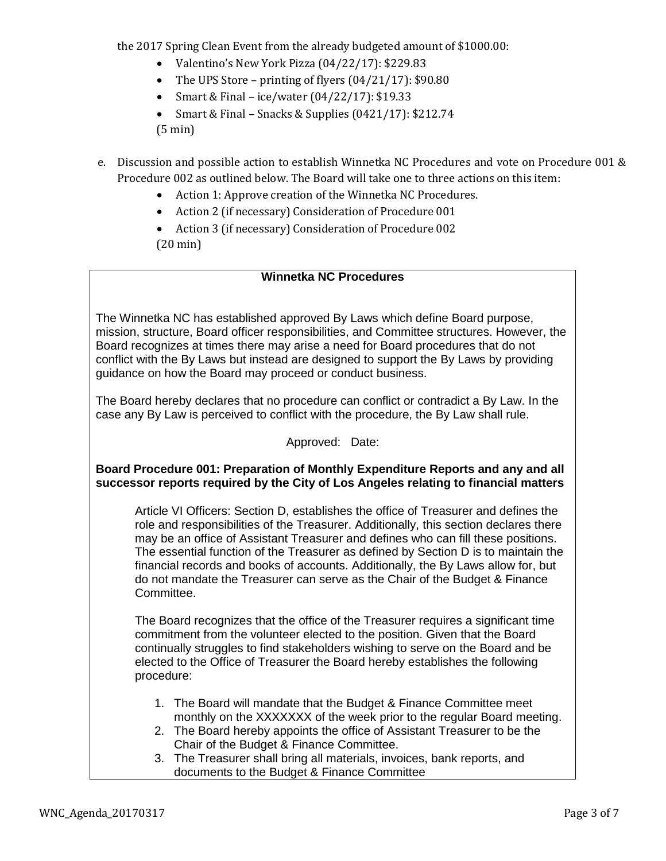the 2017 Spring Clean Event from the already budgeted amount of \$1000.00:

- Valentino's New York Pizza (04/22/17): \$229.83
- The UPS Store printing of flyers  $(04/21/17)$ : \$90.80
- Smart & Final ice/water  $(04/22/17)$ : \$19.33
- Smart & Final Snacks & Supplies  $(0421/17)$ : \$212.74 (5 min)
- e. Discussion and possible action to establish Winnetka NC Procedures and vote on Procedure 001 & Procedure 002 as outlined below. The Board will take one to three actions on this item:
	- Action 1: Approve creation of the Winnetka NC Procedures.
	- Action 2 (if necessary) Consideration of Procedure 001
	- Action 3 (if necessary) Consideration of Procedure 002 (20 min)

### **Winnetka NC Procedures**

The Winnetka NC has established approved By Laws which define Board purpose, mission, structure, Board officer responsibilities, and Committee structures. However, the Board recognizes at times there may arise a need for Board procedures that do not conflict with the By Laws but instead are designed to support the By Laws by providing guidance on how the Board may proceed or conduct business.

The Board hereby declares that no procedure can conflict or contradict a By Law. In the case any By Law is perceived to conflict with the procedure, the By Law shall rule.

### Approved: Date:

### **Board Procedure 001: Preparation of Monthly Expenditure Reports and any and all successor reports required by the City of Los Angeles relating to financial matters**

Article VI Officers: Section D, establishes the office of Treasurer and defines the role and responsibilities of the Treasurer. Additionally, this section declares there may be an office of Assistant Treasurer and defines who can fill these positions. The essential function of the Treasurer as defined by Section D is to maintain the financial records and books of accounts. Additionally, the By Laws allow for, but do not mandate the Treasurer can serve as the Chair of the Budget & Finance Committee.

The Board recognizes that the office of the Treasurer requires a significant time commitment from the volunteer elected to the position. Given that the Board continually struggles to find stakeholders wishing to serve on the Board and be elected to the Office of Treasurer the Board hereby establishes the following procedure:

- 1. The Board will mandate that the Budget & Finance Committee meet monthly on the XXXXXXX of the week prior to the regular Board meeting.
- 2. The Board hereby appoints the office of Assistant Treasurer to be the Chair of the Budget & Finance Committee.
- 3. The Treasurer shall bring all materials, invoices, bank reports, and documents to the Budget & Finance Committee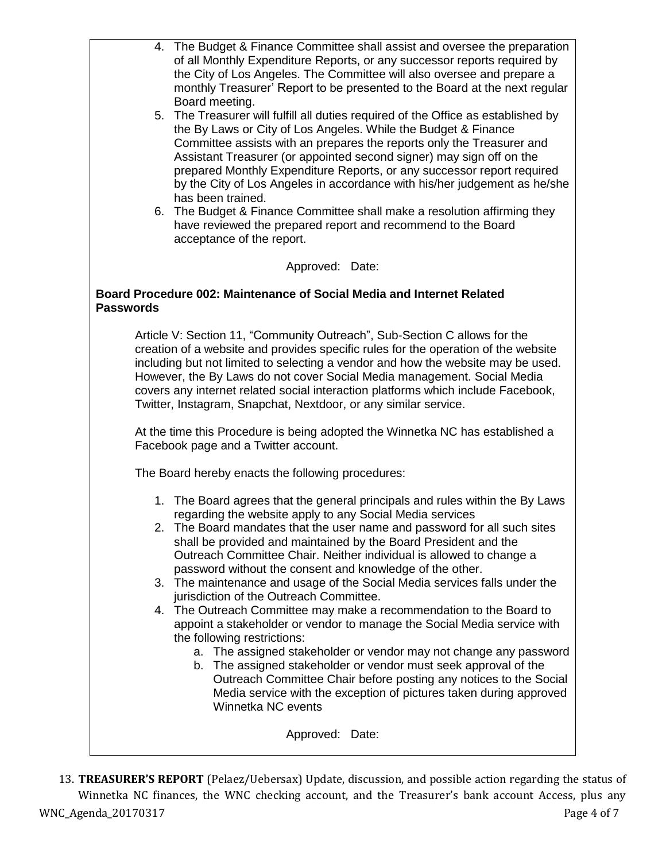| 4. The Budget & Finance Committee shall assist and oversee the preparation<br>of all Monthly Expenditure Reports, or any successor reports required by<br>the City of Los Angeles. The Committee will also oversee and prepare a<br>monthly Treasurer' Report to be presented to the Board at the next regular<br>Board meeting.<br>5. The Treasurer will fulfill all duties required of the Office as established by<br>the By Laws or City of Los Angeles. While the Budget & Finance<br>Committee assists with an prepares the reports only the Treasurer and<br>Assistant Treasurer (or appointed second signer) may sign off on the<br>prepared Monthly Expenditure Reports, or any successor report required<br>by the City of Los Angeles in accordance with his/her judgement as he/she<br>has been trained.<br>6. The Budget & Finance Committee shall make a resolution affirming they<br>have reviewed the prepared report and recommend to the Board<br>acceptance of the report.                                             |  |  |  |  |
|-------------------------------------------------------------------------------------------------------------------------------------------------------------------------------------------------------------------------------------------------------------------------------------------------------------------------------------------------------------------------------------------------------------------------------------------------------------------------------------------------------------------------------------------------------------------------------------------------------------------------------------------------------------------------------------------------------------------------------------------------------------------------------------------------------------------------------------------------------------------------------------------------------------------------------------------------------------------------------------------------------------------------------------------|--|--|--|--|
| Approved: Date:                                                                                                                                                                                                                                                                                                                                                                                                                                                                                                                                                                                                                                                                                                                                                                                                                                                                                                                                                                                                                           |  |  |  |  |
| Board Procedure 002: Maintenance of Social Media and Internet Related<br><b>Passwords</b>                                                                                                                                                                                                                                                                                                                                                                                                                                                                                                                                                                                                                                                                                                                                                                                                                                                                                                                                                 |  |  |  |  |
| Article V: Section 11, "Community Outreach", Sub-Section C allows for the<br>creation of a website and provides specific rules for the operation of the website<br>including but not limited to selecting a vendor and how the website may be used.<br>However, the By Laws do not cover Social Media management. Social Media<br>covers any internet related social interaction platforms which include Facebook,<br>Twitter, Instagram, Snapchat, Nextdoor, or any similar service.                                                                                                                                                                                                                                                                                                                                                                                                                                                                                                                                                     |  |  |  |  |
| At the time this Procedure is being adopted the Winnetka NC has established a<br>Facebook page and a Twitter account.                                                                                                                                                                                                                                                                                                                                                                                                                                                                                                                                                                                                                                                                                                                                                                                                                                                                                                                     |  |  |  |  |
| The Board hereby enacts the following procedures:                                                                                                                                                                                                                                                                                                                                                                                                                                                                                                                                                                                                                                                                                                                                                                                                                                                                                                                                                                                         |  |  |  |  |
| 1. The Board agrees that the general principals and rules within the By Laws<br>regarding the website apply to any Social Media services<br>The Board mandates that the user name and password for all such sites<br>shall be provided and maintained by the Board President and the<br>Outreach Committee Chair. Neither individual is allowed to change a<br>password without the consent and knowledge of the other.<br>3. The maintenance and usage of the Social Media services falls under the<br>jurisdiction of the Outreach Committee.<br>4. The Outreach Committee may make a recommendation to the Board to<br>appoint a stakeholder or vendor to manage the Social Media service with<br>the following restrictions:<br>a. The assigned stakeholder or vendor may not change any password<br>b. The assigned stakeholder or vendor must seek approval of the<br>Outreach Committee Chair before posting any notices to the Social<br>Media service with the exception of pictures taken during approved<br>Winnetka NC events |  |  |  |  |
| Approved: Date:                                                                                                                                                                                                                                                                                                                                                                                                                                                                                                                                                                                                                                                                                                                                                                                                                                                                                                                                                                                                                           |  |  |  |  |

WNC\_Agenda\_20170317 Page 4 of 7 13. **TREASURER'S REPORT** (Pelaez/Uebersax) Update, discussion, and possible action regarding the status of Winnetka NC finances, the WNC checking account, and the Treasurer's bank account Access, plus any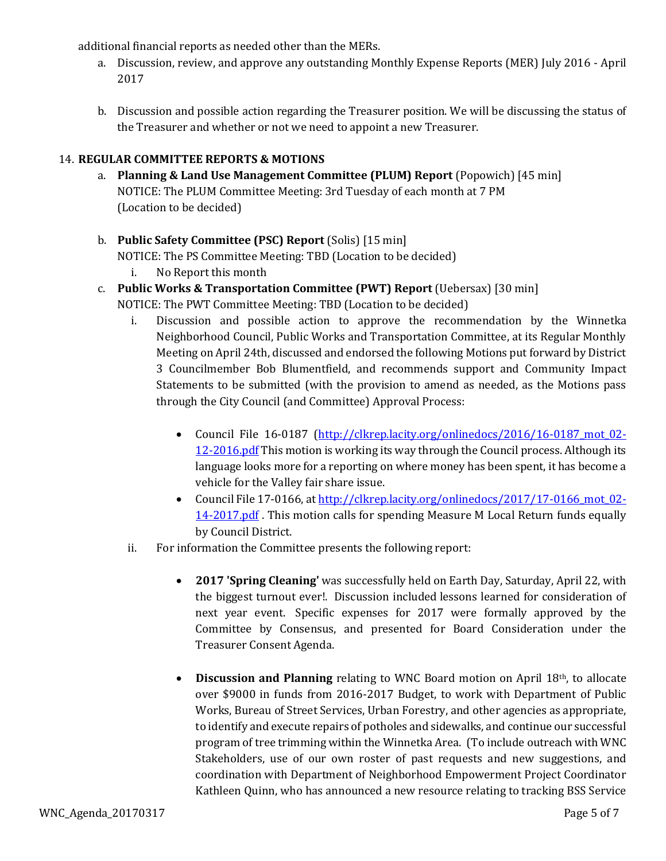additional financial reports as needed other than the MERs.

- a. Discussion, review, and approve any outstanding Monthly Expense Reports (MER) July 2016 April 2017
- b. Discussion and possible action regarding the Treasurer position. We will be discussing the status of the Treasurer and whether or not we need to appoint a new Treasurer.

### 14. **REGULAR COMMITTEE REPORTS & MOTIONS**

- a. **Planning & Land Use Management Committee (PLUM) Report** (Popowich) [45 min] NOTICE: The PLUM Committee Meeting: 3rd Tuesday of each month at 7 PM (Location to be decided)
- b. **Public Safety Committee (PSC) Report** (Solis) [15 min]

NOTICE: The PS Committee Meeting: TBD (Location to be decided)

- i. No Report this month
- c. **Public Works & Transportation Committee (PWT) Report** (Uebersax) [30 min]

NOTICE: The PWT Committee Meeting: TBD (Location to be decided)

- i. Discussion and possible action to approve the recommendation by the Winnetka Neighborhood Council, Public Works and Transportation Committee, at its Regular Monthly Meeting on April 24th, discussed and endorsed the following Motions put forward by District 3 Councilmember Bob Blumentfield, and recommends support and Community Impact Statements to be submitted (with the provision to amend as needed, as the Motions pass through the City Council (and Committee) Approval Process:
	- Council File 16-0187 (http://clkrep.lacity.org/onlinedocs/2016/16-0187 mot 02-[12-2016.pdf](http://clkrep.lacity.org/onlinedocs/2016/16-0187_mot_02-12-2016.pdf) This motion is working its way through the Council process. Although its language looks more for a reporting on where money has been spent, it has become a vehicle for the Valley fair share issue.
	- Council File 17-0166, at http://clkrep.lacity.org/onlinedocs/2017/17-0166 mot 02-[14-2017.pdf](http://clkrep.lacity.org/onlinedocs/2017/17-0166_mot_02-14-2017.pdf) . This motion calls for spending Measure M Local Return funds equally by Council District.
- ii. For information the Committee presents the following report:
	- **2017 'Spring Cleaning'** was successfully held on Earth Day, Saturday, April 22, with the biggest turnout ever!. Discussion included lessons learned for consideration of next year event. Specific expenses for 2017 were formally approved by the Committee by Consensus, and presented for Board Consideration under the Treasurer Consent Agenda.
	- **Discussion and Planning** relating to WNC Board motion on April 18th, to allocate over \$9000 in funds from 2016-2017 Budget, to work with Department of Public Works, Bureau of Street Services, Urban Forestry, and other agencies as appropriate, to identify and execute repairs of potholes and sidewalks, and continue our successful program of tree trimming within the Winnetka Area. (To include outreach with WNC Stakeholders, use of our own roster of past requests and new suggestions, and coordination with Department of Neighborhood Empowerment Project Coordinator Kathleen Quinn, who has announced a new resource relating to tracking BSS Service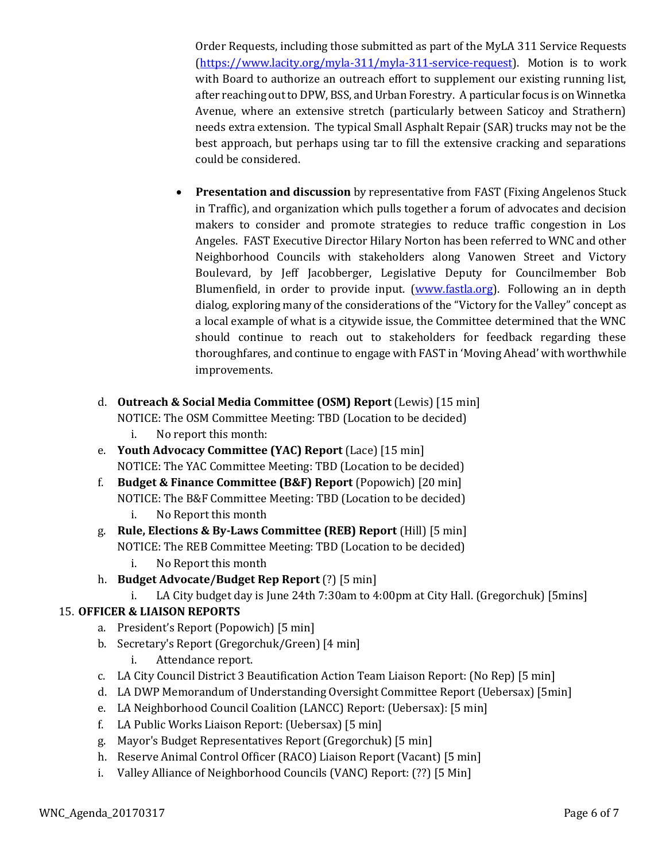Order Requests, including those submitted as part of the MyLA 311 Service Requests [\(https://www.lacity.org/myla-311/myla-311-service-request\)](https://www.lacity.org/myla-311/myla-311-service-request). Motion is to work with Board to authorize an outreach effort to supplement our existing running list, after reaching out to DPW, BSS, and Urban Forestry. A particular focus is on Winnetka Avenue, where an extensive stretch (particularly between Saticoy and Strathern) needs extra extension. The typical Small Asphalt Repair (SAR) trucks may not be the best approach, but perhaps using tar to fill the extensive cracking and separations could be considered.

- **Presentation and discussion** by representative from FAST (Fixing Angelenos Stuck in Traffic), and organization which pulls together a forum of advocates and decision makers to consider and promote strategies to reduce traffic congestion in Los Angeles. FAST Executive Director Hilary Norton has been referred to WNC and other Neighborhood Councils with stakeholders along Vanowen Street and Victory Boulevard, by Jeff Jacobberger, Legislative Deputy for Councilmember Bob Blumenfield, in order to provide input. [\(www.fastla.org\)](http://www.fastla.org/). Following an in depth dialog, exploring many of the considerations of the "Victory for the Valley" concept as a local example of what is a citywide issue, the Committee determined that the WNC should continue to reach out to stakeholders for feedback regarding these thoroughfares, and continue to engage with FAST in 'Moving Ahead' with worthwhile improvements.
- d. **Outreach & Social Media Committee (OSM) Report** (Lewis) [15 min] NOTICE: The OSM Committee Meeting: TBD (Location to be decided)
	- i. No report this month:
- e. **Youth Advocacy Committee (YAC) Report** (Lace) [15 min] NOTICE: The YAC Committee Meeting: TBD (Location to be decided)
- f. **Budget & Finance Committee (B&F) Report** (Popowich) [20 min] NOTICE: The B&F Committee Meeting: TBD (Location to be decided)
	- i. No Report this month
- g. **Rule, Elections & By-Laws Committee (REB) Report** (Hill) [5 min] NOTICE: The REB Committee Meeting: TBD (Location to be decided)
	- i. No Report this month
- h. **Budget Advocate/Budget Rep Report** (?) [5 min]
	- i. LA City budget day is June 24th 7:30am to 4:00pm at City Hall. (Gregorchuk) [5mins]

## 15. **OFFICER & LIAISON REPORTS**

- a. President's Report (Popowich) [5 min]
- b. Secretary's Report (Gregorchuk/Green) [4 min]
	- i. Attendance report.
- c. LA City Council District 3 Beautification Action Team Liaison Report: (No Rep) [5 min]
- d. LA DWP Memorandum of Understanding Oversight Committee Report (Uebersax) [5min]
- e. LA Neighborhood Council Coalition (LANCC) Report: (Uebersax): [5 min]
- f. LA Public Works Liaison Report: (Uebersax) [5 min]
- g. Mayor's Budget Representatives Report (Gregorchuk) [5 min]
- h. Reserve Animal Control Officer (RACO) Liaison Report (Vacant) [5 min]
- i. Valley Alliance of Neighborhood Councils (VANC) Report: (??) [5 Min]